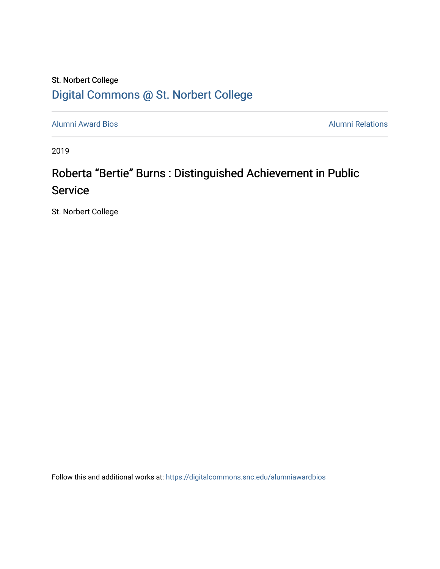### St. Norbert College [Digital Commons @ St. Norbert College](https://digitalcommons.snc.edu/)

[Alumni Award Bios](https://digitalcommons.snc.edu/alumniawardbios) **Alumni Relations** Alumni Relations

2019

## Roberta "Bertie" Burns : Distinguished Achievement in Public Service

St. Norbert College

Follow this and additional works at: [https://digitalcommons.snc.edu/alumniawardbios](https://digitalcommons.snc.edu/alumniawardbios?utm_source=digitalcommons.snc.edu%2Falumniawardbios%2F65&utm_medium=PDF&utm_campaign=PDFCoverPages)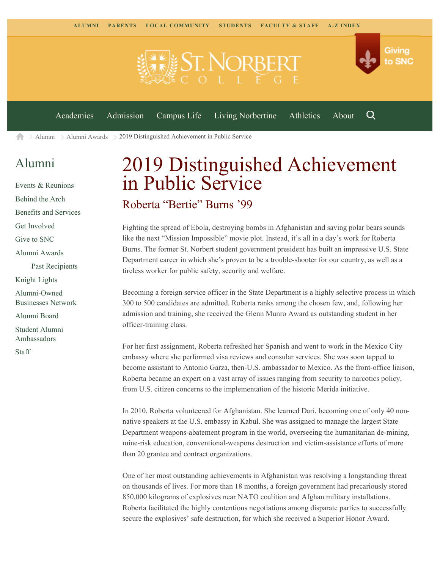

 $\geq$  [Alumni](https://www.snc.edu/alumni/)  $\geq$  [Alumni Awards](https://www.snc.edu/alumni/awards/)  $\geq$  2019 Distinguished Achievement in Public Service A

#### [Alumni](https://www.snc.edu/alumni/index.html)

[Events & Reunions](https://www.snc.edu/alumni/event/index.html) [Behind the Arch](https://www.snc.edu/alumni/event/behindthearch/) [Benefits and Services](https://www.snc.edu/alumni/benefits.html) [Get Involved](https://www.snc.edu/alumni/getinvolved.html) [Give to SNC](http://giving.snc.edu/) [Alumni Awards](https://www.snc.edu/alumni/awards/index.html) [Past Recipients](https://www.snc.edu/alumni/awards/recipients.html) [Knight Lights](https://www.snc.edu/alumni/knightlights/index.html) [Alumni-Owned](https://www.snc.edu/alumni/directory/index.html) [Businesses Network](https://www.snc.edu/alumni/directory/index.html) [Alumni Board](https://www.snc.edu/alumni/alumniboard.html) [Student Alumni](https://www.snc.edu/alumni/saa.html) [Ambassadors](https://www.snc.edu/alumni/saa.html) [Staff](https://www.snc.edu/alumni/contactus.html)

# 2019 Distinguished Achievement in Public Service

#### Roberta "Bertie" Burns '99

Fighting the spread of Ebola, destroying bombs in Afghanistan and saving polar bears sounds like the next "Mission Impossible" movie plot. Instead, it's all in a day's work for Roberta Burns. The former St. Norbert student government president has built an impressive U.S. State Department career in which she's proven to be a trouble-shooter for our country, as well as a tireless worker for public safety, security and welfare.

Becoming a foreign service officer in the State Department is a highly selective process in which 300 to 500 candidates are admitted. Roberta ranks among the chosen few, and, following her admission and training, she received the Glenn Munro Award as outstanding student in her officer-training class.

For her first assignment, Roberta refreshed her Spanish and went to work in the Mexico City embassy where she performed visa reviews and consular services. She was soon tapped to become assistant to Antonio Garza, then-U.S. ambassador to Mexico. As the front-office liaison, Roberta became an expert on a vast array of issues ranging from security to narcotics policy, from U.S. citizen concerns to the implementation of the historic Merida initiative.

In 2010, Roberta volunteered for Afghanistan. She learned Dari, becoming one of only 40 nonnative speakers at the U.S. embassy in Kabul. She was assigned to manage the largest State Department weapons-abatement program in the world, overseeing the humanitarian de-mining, mine-risk education, conventional-weapons destruction and victim-assistance efforts of more than 20 grantee and contract organizations.

One of her most outstanding achievements in Afghanistan was resolving a longstanding threat on thousands of lives. For more than 18 months, a foreign government had precariously stored 850,000 kilograms of explosives near NATO coalition and Afghan military installations. Roberta facilitated the highly contentious negotiations among disparate parties to successfully secure the explosives' safe destruction, for which she received a Superior Honor Award.